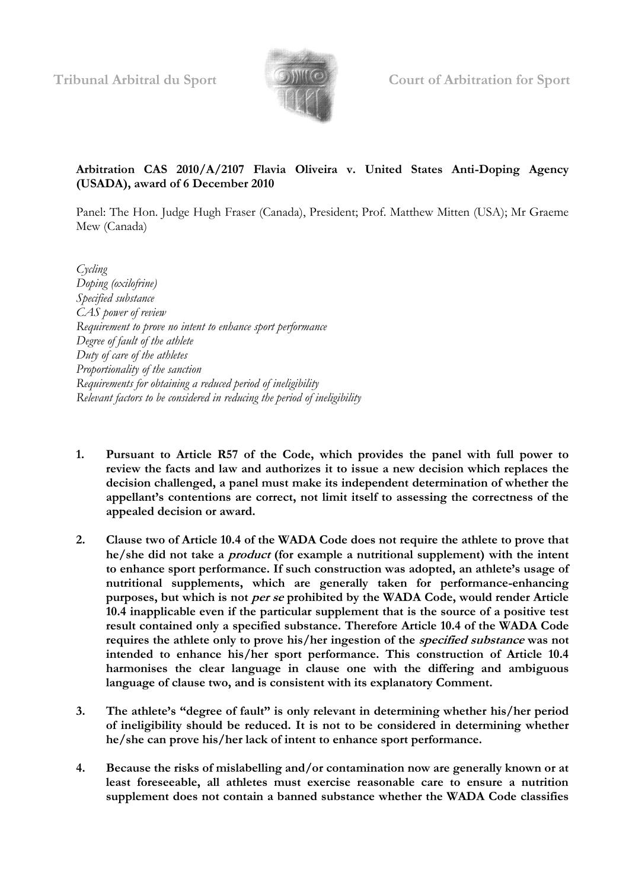

## **Arbitration CAS 2010/A/2107 Flavia Oliveira v. United States Anti-Doping Agency (USADA), award of 6 December 2010**

Panel: The Hon. Judge Hugh Fraser (Canada), President; Prof. Matthew Mitten (USA); Mr Graeme Mew (Canada)

*Cycling Doping (oxilofrine) Specified substance CAS power of review Requirement to prove no intent to enhance sport performance Degree of fault of the athlete Duty of care of the athletes Proportionality of the sanction Requirements for obtaining a reduced period of ineligibility Relevant factors to be considered in reducing the period of ineligibility*

- **1. Pursuant to Article R57 of the Code, which provides the panel with full power to review the facts and law and authorizes it to issue a new decision which replaces the decision challenged, a panel must make its independent determination of whether the appellant's contentions are correct, not limit itself to assessing the correctness of the appealed decision or award.**
- **2. Clause two of Article 10.4 of the WADA Code does not require the athlete to prove that he/she did not take a product (for example a nutritional supplement) with the intent to enhance sport performance. If such construction was adopted, an athlete's usage of nutritional supplements, which are generally taken for performance-enhancing purposes, but which is not per se prohibited by the WADA Code, would render Article 10.4 inapplicable even if the particular supplement that is the source of a positive test result contained only a specified substance. Therefore Article 10.4 of the WADA Code requires the athlete only to prove his/her ingestion of the specified substance was not intended to enhance his/her sport performance. This construction of Article 10.4 harmonises the clear language in clause one with the differing and ambiguous language of clause two, and is consistent with its explanatory Comment.**
- **3. The athlete's "degree of fault" is only relevant in determining whether his/her period of ineligibility should be reduced. It is not to be considered in determining whether he/she can prove his/her lack of intent to enhance sport performance.**
- **4. Because the risks of mislabelling and/or contamination now are generally known or at least foreseeable, all athletes must exercise reasonable care to ensure a nutrition supplement does not contain a banned substance whether the WADA Code classifies**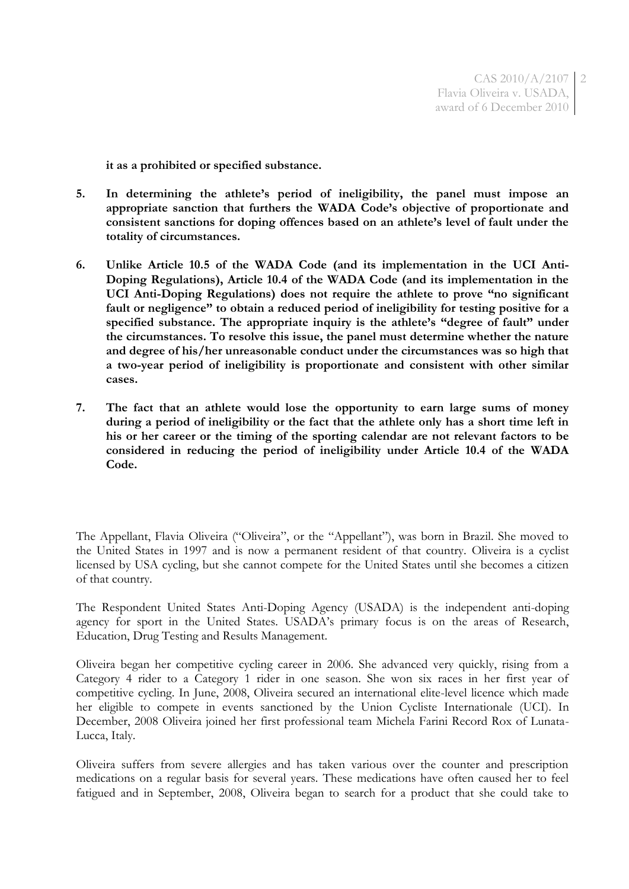CAS 2010/A/2107 Flavia Oliveira v. USADA, award of 6 December 2010 2

**it as a prohibited or specified substance.**

- **5. In determining the athlete's period of ineligibility, the panel must impose an appropriate sanction that furthers the WADA Code's objective of proportionate and consistent sanctions for doping offences based on an athlete's level of fault under the totality of circumstances.**
- **6. Unlike Article 10.5 of the WADA Code (and its implementation in the UCI Anti-Doping Regulations), Article 10.4 of the WADA Code (and its implementation in the UCI Anti-Doping Regulations) does not require the athlete to prove "no significant fault or negligence" to obtain a reduced period of ineligibility for testing positive for a specified substance. The appropriate inquiry is the athlete's "degree of fault" under the circumstances. To resolve this issue, the panel must determine whether the nature and degree of his/her unreasonable conduct under the circumstances was so high that a two-year period of ineligibility is proportionate and consistent with other similar cases.**
- **7. The fact that an athlete would lose the opportunity to earn large sums of money during a period of ineligibility or the fact that the athlete only has a short time left in his or her career or the timing of the sporting calendar are not relevant factors to be considered in reducing the period of ineligibility under Article 10.4 of the WADA Code.**

The Appellant, Flavia Oliveira ("Oliveira", or the "Appellant"), was born in Brazil. She moved to the United States in 1997 and is now a permanent resident of that country. Oliveira is a cyclist licensed by USA cycling, but she cannot compete for the United States until she becomes a citizen of that country.

The Respondent United States Anti-Doping Agency (USADA) is the independent anti-doping agency for sport in the United States. USADA's primary focus is on the areas of Research, Education, Drug Testing and Results Management.

Oliveira began her competitive cycling career in 2006. She advanced very quickly, rising from a Category 4 rider to a Category 1 rider in one season. She won six races in her first year of competitive cycling. In June, 2008, Oliveira secured an international elite-level licence which made her eligible to compete in events sanctioned by the Union Cycliste Internationale (UCI). In December, 2008 Oliveira joined her first professional team Michela Farini Record Rox of Lunata-Lucca, Italy.

Oliveira suffers from severe allergies and has taken various over the counter and prescription medications on a regular basis for several years. These medications have often caused her to feel fatigued and in September, 2008, Oliveira began to search for a product that she could take to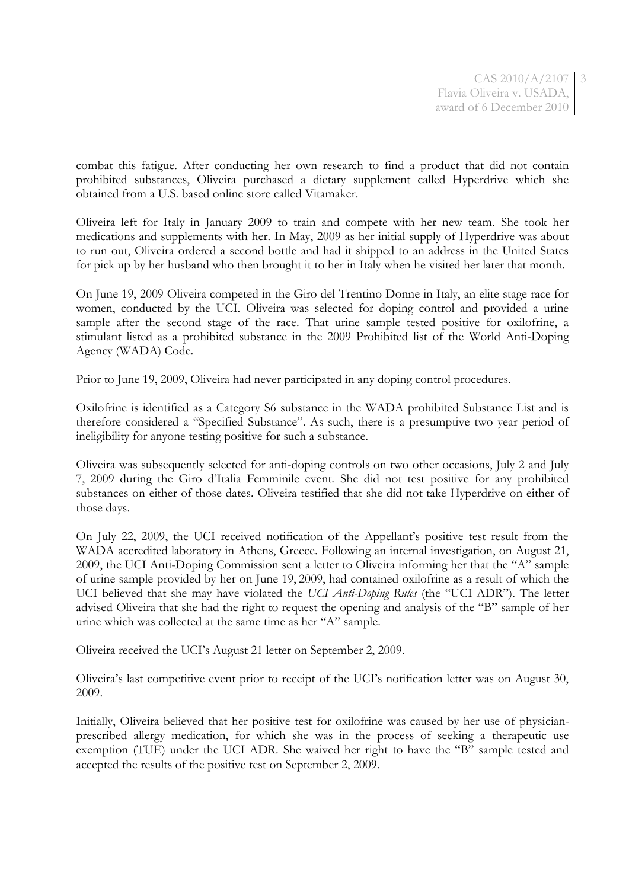CAS 2010/A/2107 Flavia Oliveira v. USADA, award of 6 December 2010

3

combat this fatigue. After conducting her own research to find a product that did not contain prohibited substances, Oliveira purchased a dietary supplement called Hyperdrive which she obtained from a U.S. based online store called Vitamaker.

Oliveira left for Italy in January 2009 to train and compete with her new team. She took her medications and supplements with her. In May, 2009 as her initial supply of Hyperdrive was about to run out, Oliveira ordered a second bottle and had it shipped to an address in the United States for pick up by her husband who then brought it to her in Italy when he visited her later that month.

On June 19, 2009 Oliveira competed in the Giro del Trentino Donne in Italy, an elite stage race for women, conducted by the UCI. Oliveira was selected for doping control and provided a urine sample after the second stage of the race. That urine sample tested positive for oxilofrine, a stimulant listed as a prohibited substance in the 2009 Prohibited list of the World Anti-Doping Agency (WADA) Code.

Prior to June 19, 2009, Oliveira had never participated in any doping control procedures.

Oxilofrine is identified as a Category S6 substance in the WADA prohibited Substance List and is therefore considered a "Specified Substance". As such, there is a presumptive two year period of ineligibility for anyone testing positive for such a substance.

Oliveira was subsequently selected for anti-doping controls on two other occasions, July 2 and July 7, 2009 during the Giro d'Italia Femminile event. She did not test positive for any prohibited substances on either of those dates. Oliveira testified that she did not take Hyperdrive on either of those days.

On July 22, 2009, the UCI received notification of the Appellant's positive test result from the WADA accredited laboratory in Athens, Greece. Following an internal investigation, on August 21, 2009, the UCI Anti-Doping Commission sent a letter to Oliveira informing her that the "A" sample of urine sample provided by her on June 19, 2009, had contained oxilofrine as a result of which the UCI believed that she may have violated the *UCI Anti-Doping Rules* (the "UCI ADR"). The letter advised Oliveira that she had the right to request the opening and analysis of the "B" sample of her urine which was collected at the same time as her "A" sample.

Oliveira received the UCI's August 21 letter on September 2, 2009.

Oliveira's last competitive event prior to receipt of the UCI's notification letter was on August 30, 2009.

Initially, Oliveira believed that her positive test for oxilofrine was caused by her use of physicianprescribed allergy medication, for which she was in the process of seeking a therapeutic use exemption (TUE) under the UCI ADR. She waived her right to have the "B" sample tested and accepted the results of the positive test on September 2, 2009.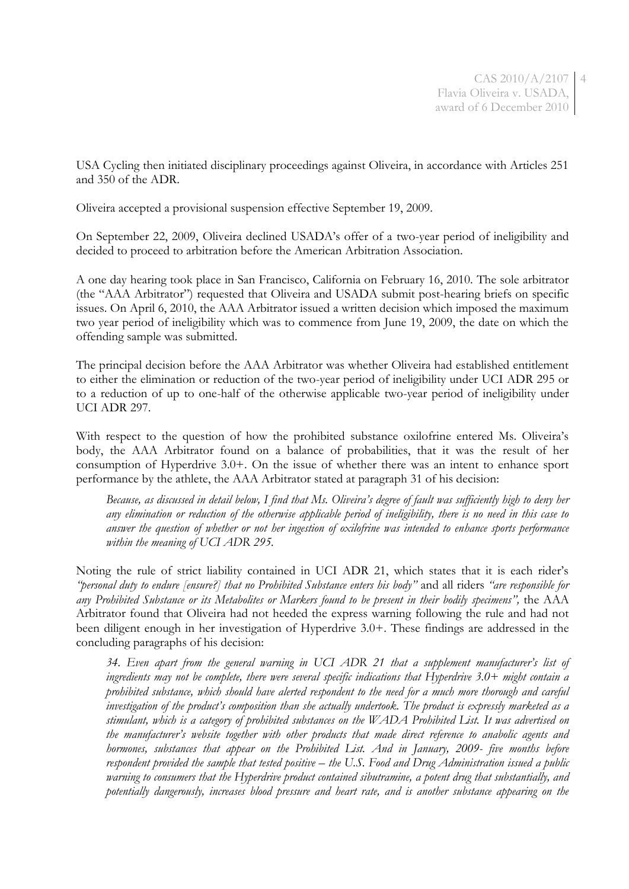CAS 2010/A/2107 4 Flavia Oliveira v. USADA, award of 6 December 2010

USA Cycling then initiated disciplinary proceedings against Oliveira, in accordance with Articles 251 and 350 of the ADR.

Oliveira accepted a provisional suspension effective September 19, 2009.

On September 22, 2009, Oliveira declined USADA's offer of a two-year period of ineligibility and decided to proceed to arbitration before the American Arbitration Association.

A one day hearing took place in San Francisco, California on February 16, 2010. The sole arbitrator (the "AAA Arbitrator") requested that Oliveira and USADA submit post-hearing briefs on specific issues. On April 6, 2010, the AAA Arbitrator issued a written decision which imposed the maximum two year period of ineligibility which was to commence from June 19, 2009, the date on which the offending sample was submitted.

The principal decision before the AAA Arbitrator was whether Oliveira had established entitlement to either the elimination or reduction of the two-year period of ineligibility under UCI ADR 295 or to a reduction of up to one-half of the otherwise applicable two-year period of ineligibility under UCI ADR 297.

With respect to the question of how the prohibited substance oxilofrine entered Ms. Oliveira's body, the AAA Arbitrator found on a balance of probabilities, that it was the result of her consumption of Hyperdrive 3.0+. On the issue of whether there was an intent to enhance sport performance by the athlete, the AAA Arbitrator stated at paragraph 31 of his decision:

*Because, as discussed in detail below, I find that Ms. Oliveira's degree of fault was sufficiently high to deny her any elimination or reduction of the otherwise applicable period of ineligibility, there is no need in this case to answer the question of whether or not her ingestion of oxilofrine was intended to enhance sports performance within the meaning of UCI ADR 295.*

Noting the rule of strict liability contained in UCI ADR 21, which states that it is each rider's *"personal duty to endure [ensure?] that no Prohibited Substance enters his body"* and all riders *"are responsible for any Prohibited Substance or its Metabolites or Markers found to be present in their bodily specimens",* the AAA Arbitrator found that Oliveira had not heeded the express warning following the rule and had not been diligent enough in her investigation of Hyperdrive 3.0+. These findings are addressed in the concluding paragraphs of his decision:

*34. Even apart from the general warning in UCI ADR 21 that a supplement manufacturer's list of ingredients may not be complete, there were several specific indications that Hyperdrive 3.0+ might contain a prohibited substance, which should have alerted respondent to the need for a much more thorough and careful investigation of the product's composition than she actually undertook. The product is expressly marketed as a stimulant, which is a category of prohibited substances on the WADA Prohibited List. It was advertised on the manufacturer's website together with other products that made direct reference to anabolic agents and hormones, substances that appear on the Prohibited List. And in January, 2009- five months before respondent provided the sample that tested positive – the U.S. Food and Drug Administration issued a public warning to consumers that the Hyperdrive product contained sibutramine, a potent drug that substantially, and potentially dangerously, increases blood pressure and heart rate, and is another substance appearing on the*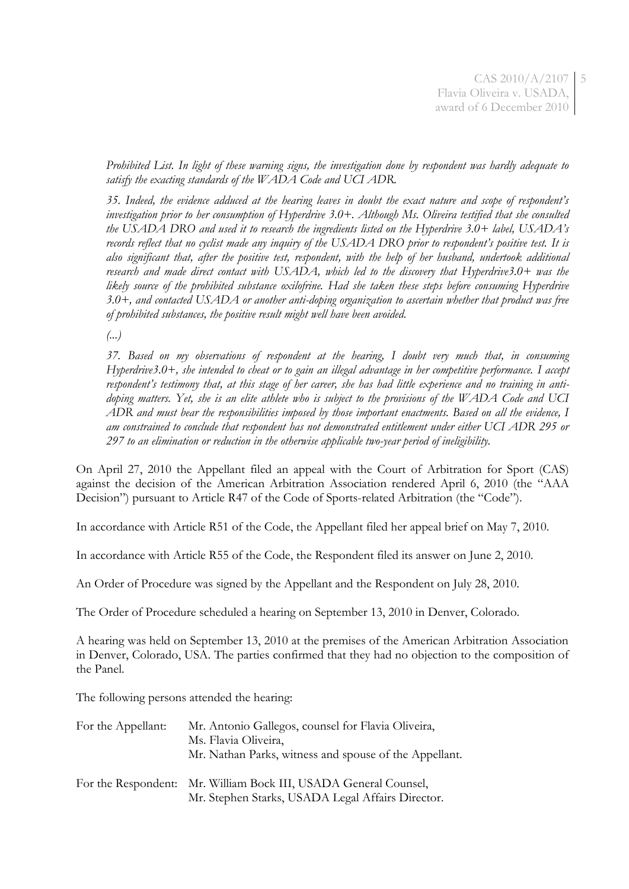CAS 2010/A/2107 5 Flavia Oliveira v. USADA, award of 6 December 2010

*Prohibited List. In light of these warning signs, the investigation done by respondent was hardly adequate to satisfy the exacting standards of the WADA Code and UCI ADR.*

*35. Indeed, the evidence adduced at the hearing leaves in doubt the exact nature and scope of respondent's investigation prior to her consumption of Hyperdrive 3.0+. Although Ms. Oliveira testified that she consulted the USADA DRO and used it to research the ingredients listed on the Hyperdrive 3.0+ label, USADA's records reflect that no cyclist made any inquiry of the USADA DRO prior to respondent's positive test. It is also significant that, after the positive test, respondent, with the help of her husband, undertook additional research and made direct contact with USADA, which led to the discovery that Hyperdrive3.0+ was the likely source of the prohibited substance oxilofrine. Had she taken these steps before consuming Hyperdrive 3.0+, and contacted USADA or another anti-doping organization to ascertain whether that product was free of prohibited substances, the positive result might well have been avoided.*

*(...)*

*37. Based on my observations of respondent at the hearing, I doubt very much that, in consuming Hyperdrive3.0+, she intended to cheat or to gain an illegal advantage in her competitive performance. I accept respondent's testimony that, at this stage of her career, she has had little experience and no training in antidoping matters. Yet, she is an elite athlete who is subject to the provisions of the WADA Code and UCI ADR and must bear the responsibilities imposed by those important enactments. Based on all the evidence, I am constrained to conclude that respondent has not demonstrated entitlement under either UCI ADR 295 or 297 to an elimination or reduction in the otherwise applicable two-year period of ineligibility.*

On April 27, 2010 the Appellant filed an appeal with the Court of Arbitration for Sport (CAS) against the decision of the American Arbitration Association rendered April 6, 2010 (the "AAA Decision") pursuant to Article R47 of the Code of Sports-related Arbitration (the "Code").

In accordance with Article R51 of the Code, the Appellant filed her appeal brief on May 7, 2010.

In accordance with Article R55 of the Code, the Respondent filed its answer on June 2, 2010.

An Order of Procedure was signed by the Appellant and the Respondent on July 28, 2010.

The Order of Procedure scheduled a hearing on September 13, 2010 in Denver, Colorado.

A hearing was held on September 13, 2010 at the premises of the American Arbitration Association in Denver, Colorado, USA. The parties confirmed that they had no objection to the composition of the Panel.

The following persons attended the hearing:

| For the Appellant: | Mr. Antonio Gallegos, counsel for Flavia Oliveira,<br>Ms. Flavia Oliveira,<br>Mr. Nathan Parks, witness and spouse of the Appellant. |
|--------------------|--------------------------------------------------------------------------------------------------------------------------------------|
|                    | For the Respondent: Mr. William Bock III, USADA General Counsel,<br>Mr. Stephen Starks, USADA Legal Affairs Director.                |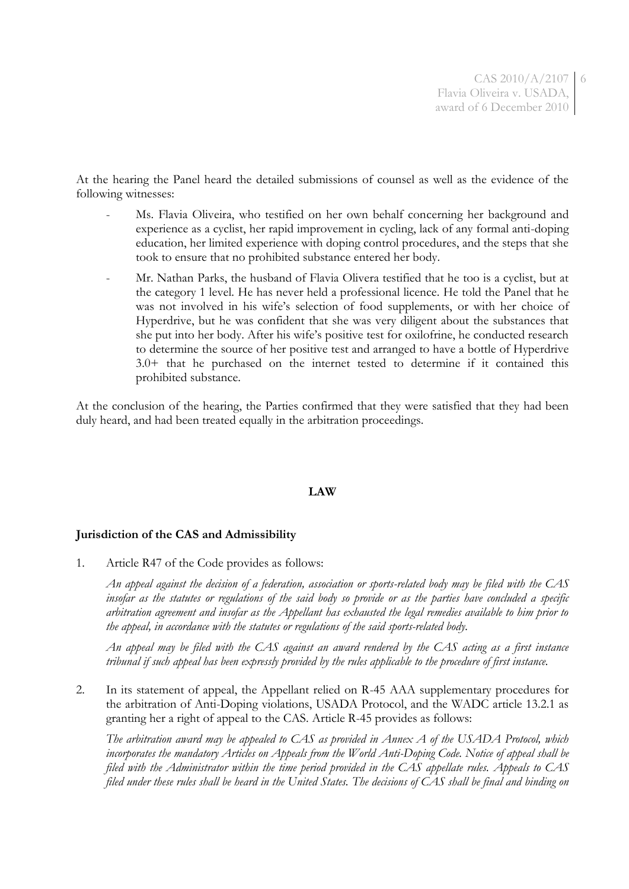6

At the hearing the Panel heard the detailed submissions of counsel as well as the evidence of the following witnesses:

- Ms. Flavia Oliveira, who testified on her own behalf concerning her background and experience as a cyclist, her rapid improvement in cycling, lack of any formal anti-doping education, her limited experience with doping control procedures, and the steps that she took to ensure that no prohibited substance entered her body.
- Mr. Nathan Parks, the husband of Flavia Olivera testified that he too is a cyclist, but at the category 1 level. He has never held a professional licence. He told the Panel that he was not involved in his wife's selection of food supplements, or with her choice of Hyperdrive, but he was confident that she was very diligent about the substances that she put into her body. After his wife's positive test for oxilofrine, he conducted research to determine the source of her positive test and arranged to have a bottle of Hyperdrive 3.0+ that he purchased on the internet tested to determine if it contained this prohibited substance.

At the conclusion of the hearing, the Parties confirmed that they were satisfied that they had been duly heard, and had been treated equally in the arbitration proceedings.

## **LAW**

## **Jurisdiction of the CAS and Admissibility**

1. Article R47 of the Code provides as follows:

*An appeal against the decision of a federation, association or sports-related body may be filed with the CAS insofar as the statutes or regulations of the said body so provide or as the parties have concluded a specific arbitration agreement and insofar as the Appellant has exhausted the legal remedies available to him prior to the appeal, in accordance with the statutes or regulations of the said sports-related body.*

*An appeal may be filed with the CAS against an award rendered by the CAS acting as a first instance tribunal if such appeal has been expressly provided by the rules applicable to the procedure of first instance.*

2. In its statement of appeal, the Appellant relied on R-45 AAA supplementary procedures for the arbitration of Anti-Doping violations, USADA Protocol, and the WADC article 13.2.1 as granting her a right of appeal to the CAS. Article R-45 provides as follows:

*The arbitration award may be appealed to CAS as provided in Annex A of the USADA Protocol, which incorporates the mandatory Articles on Appeals from the World Anti-Doping Code. Notice of appeal shall be filed with the Administrator within the time period provided in the CAS appellate rules. Appeals to CAS filed under these rules shall be heard in the United States. The decisions of CAS shall be final and binding on*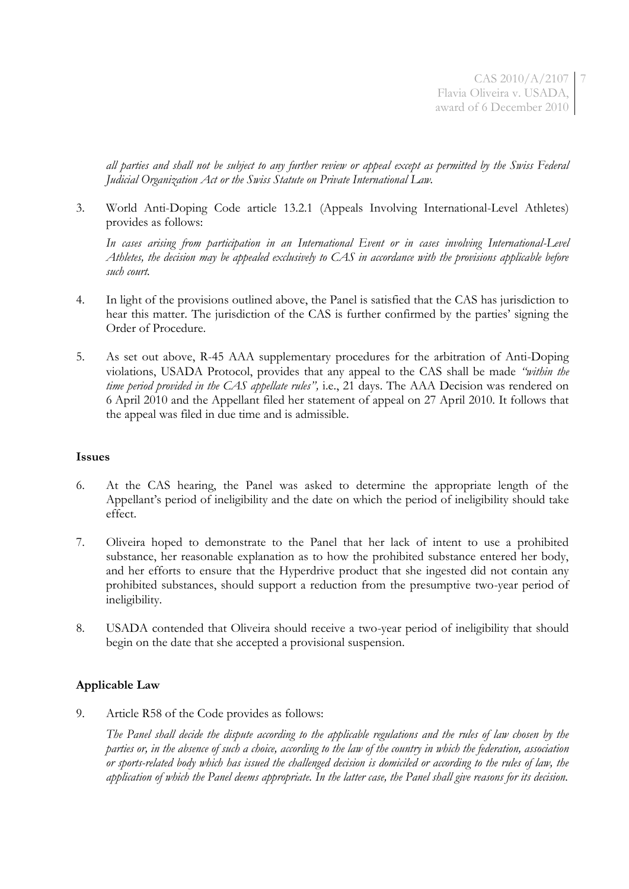CAS 2010/A/2107 7 Flavia Oliveira v. USADA, award of 6 December 2010

*all parties and shall not be subject to any further review or appeal except as permitted by the Swiss Federal Judicial Organization Act or the Swiss Statute on Private International Law.*

3. World Anti-Doping Code article 13.2.1 (Appeals Involving International-Level Athletes) provides as follows:

*In cases arising from participation in an International Event or in cases involving International-Level Athletes, the decision may be appealed exclusively to CAS in accordance with the provisions applicable before such court.*

- 4. In light of the provisions outlined above, the Panel is satisfied that the CAS has jurisdiction to hear this matter. The jurisdiction of the CAS is further confirmed by the parties' signing the Order of Procedure.
- 5. As set out above, R-45 AAA supplementary procedures for the arbitration of Anti-Doping violations, USADA Protocol, provides that any appeal to the CAS shall be made *"within the time period provided in the CAS appellate rules",* i.e., 21 days. The AAA Decision was rendered on 6 April 2010 and the Appellant filed her statement of appeal on 27 April 2010. It follows that the appeal was filed in due time and is admissible.

## **Issues**

- 6. At the CAS hearing, the Panel was asked to determine the appropriate length of the Appellant's period of ineligibility and the date on which the period of ineligibility should take effect.
- 7. Oliveira hoped to demonstrate to the Panel that her lack of intent to use a prohibited substance, her reasonable explanation as to how the prohibited substance entered her body, and her efforts to ensure that the Hyperdrive product that she ingested did not contain any prohibited substances, should support a reduction from the presumptive two-year period of ineligibility.
- 8. USADA contended that Oliveira should receive a two-year period of ineligibility that should begin on the date that she accepted a provisional suspension.

# **Applicable Law**

9. Article R58 of the Code provides as follows:

*The Panel shall decide the dispute according to the applicable regulations and the rules of law chosen by the parties or, in the absence of such a choice, according to the law of the country in which the federation, association or sports-related body which has issued the challenged decision is domiciled or according to the rules of law, the application of which the Panel deems appropriate. In the latter case, the Panel shall give reasons for its decision.*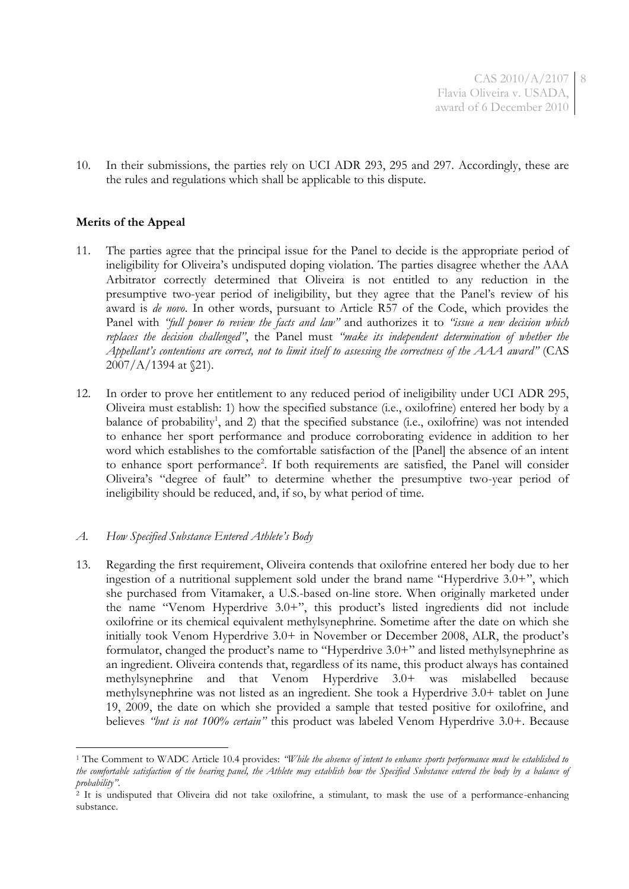CAS 2010/A/2107 8 Flavia Oliveira v. USADA, award of 6 December 2010

10. In their submissions, the parties rely on UCI ADR 293, 295 and 297. Accordingly, these are the rules and regulations which shall be applicable to this dispute.

## **Merits of the Appeal**

1

- 11. The parties agree that the principal issue for the Panel to decide is the appropriate period of ineligibility for Oliveira's undisputed doping violation. The parties disagree whether the AAA Arbitrator correctly determined that Oliveira is not entitled to any reduction in the presumptive two-year period of ineligibility, but they agree that the Panel's review of his award is *de novo*. In other words, pursuant to Article R57 of the Code, which provides the Panel with *"full power to review the facts and law"* and authorizes it to *"issue a new decision which replaces the decision challenged"*, the Panel must *"make its independent determination of whether the Appellant's contentions are correct, not to limit itself to assessing the correctness of the AAA award"* (CAS 2007/A/1394 at §21).
- 12. In order to prove her entitlement to any reduced period of ineligibility under UCI ADR 295, Oliveira must establish: 1) how the specified substance (i.e., oxilofrine) entered her body by a balance of probability<sup>1</sup>, and 2) that the specified substance (i.e., oxilofrine) was not intended to enhance her sport performance and produce corroborating evidence in addition to her word which establishes to the comfortable satisfaction of the [Panel] the absence of an intent to enhance sport performance<sup>2</sup>. If both requirements are satisfied, the Panel will consider Oliveira's "degree of fault" to determine whether the presumptive two-year period of ineligibility should be reduced, and, if so, by what period of time.

## *A. How Specified Substance Entered Athlete's Body*

13. Regarding the first requirement, Oliveira contends that oxilofrine entered her body due to her ingestion of a nutritional supplement sold under the brand name "Hyperdrive 3.0+", which she purchased from Vitamaker, a U.S.-based on-line store. When originally marketed under the name "Venom Hyperdrive 3.0+", this product's listed ingredients did not include oxilofrine or its chemical equivalent methylsynephrine. Sometime after the date on which she initially took Venom Hyperdrive 3.0+ in November or December 2008, ALR, the product's formulator, changed the product's name to "Hyperdrive 3.0+" and listed methylsynephrine as an ingredient. Oliveira contends that, regardless of its name, this product always has contained methylsynephrine and that Venom Hyperdrive 3.0+ was mislabelled because methylsynephrine was not listed as an ingredient. She took a Hyperdrive 3.0+ tablet on June 19, 2009, the date on which she provided a sample that tested positive for oxilofrine, and believes *"but is not 100% certain"* this product was labeled Venom Hyperdrive 3.0+. Because

<sup>1</sup> The Comment to WADC Article 10.4 provides: *"While the absence of intent to enhance sports performance must be established to the comfortable satisfaction of the hearing panel, the Athlete may establish how the Specified Substance entered the body by a balance of probability"*.

 $^{2}$  It is undisputed that Oliveira did not take oxilofrine, a stimulant, to mask the use of a performance-enhancing substance.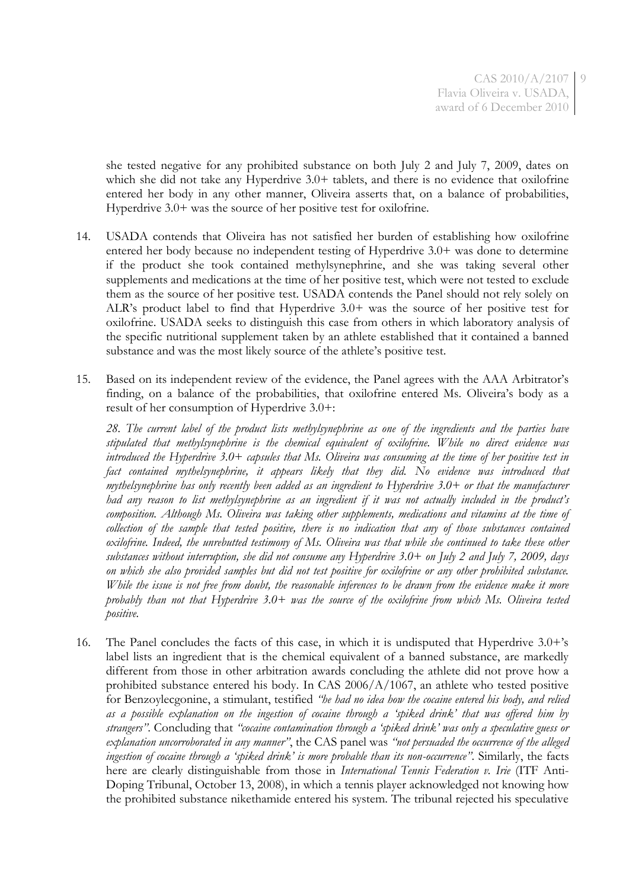she tested negative for any prohibited substance on both July 2 and July 7, 2009, dates on which she did not take any Hyperdrive 3.0+ tablets, and there is no evidence that oxilofrine entered her body in any other manner, Oliveira asserts that, on a balance of probabilities, Hyperdrive 3.0+ was the source of her positive test for oxilofrine.

- 14. USADA contends that Oliveira has not satisfied her burden of establishing how oxilofrine entered her body because no independent testing of Hyperdrive 3.0+ was done to determine if the product she took contained methylsynephrine, and she was taking several other supplements and medications at the time of her positive test, which were not tested to exclude them as the source of her positive test. USADA contends the Panel should not rely solely on ALR's product label to find that Hyperdrive 3.0+ was the source of her positive test for oxilofrine. USADA seeks to distinguish this case from others in which laboratory analysis of the specific nutritional supplement taken by an athlete established that it contained a banned substance and was the most likely source of the athlete's positive test.
- 15. Based on its independent review of the evidence, the Panel agrees with the AAA Arbitrator's finding, on a balance of the probabilities, that oxilofrine entered Ms. Oliveira's body as a result of her consumption of Hyperdrive 3.0+:

*28. The current label of the product lists methylsynephrine as one of the ingredients and the parties have stipulated that methylsynephrine is the chemical equivalent of oxilofrine. While no direct evidence was introduced the Hyperdrive 3.0+ capsules that Ms. Oliveira was consuming at the time of her positive test in fact contained mythelsynephrine, it appears likely that they did. No evidence was introduced that mythelsynephrine has only recently been added as an ingredient to Hyperdrive 3.0+ or that the manufacturer had any reason to list methylsynephrine as an ingredient if it was not actually included in the product's composition. Although Ms. Oliveira was taking other supplements, medications and vitamins at the time of collection of the sample that tested positive, there is no indication that any of those substances contained oxilofrine. Indeed, the unrebutted testimony of Ms. Oliveira was that while she continued to take these other substances without interruption, she did not consume any Hyperdrive 3.0+ on July 2 and July 7, 2009, days on which she also provided samples but did not test positive for oxilofrine or any other prohibited substance. While the issue is not free from doubt, the reasonable inferences to be drawn from the evidence make it more probably than not that Hyperdrive 3.0+ was the source of the oxilofrine from which Ms. Oliveira tested positive.* 

16. The Panel concludes the facts of this case, in which it is undisputed that Hyperdrive 3.0+'s label lists an ingredient that is the chemical equivalent of a banned substance, are markedly different from those in other arbitration awards concluding the athlete did not prove how a prohibited substance entered his body. In CAS 2006/A/1067, an athlete who tested positive for Benzoylecgonine, a stimulant, testified *"he had no idea how the cocaine entered his body, and relied as a possible explanation on the ingestion of cocaine through a 'spiked drink' that was offered him by strangers"*. Concluding that *"cocaine contamination through a 'spiked drink' was only a speculative guess or explanation uncorroborated in any manner"*, the CAS panel was *"not persuaded the occurrence of the alleged ingestion of cocaine through a 'spiked drink' is more probable than its non-occurrence"*. Similarly, the facts here are clearly distinguishable from those in *International Tennis Federation v. Irie* (ITF Anti-Doping Tribunal, October 13, 2008), in which a tennis player acknowledged not knowing how the prohibited substance nikethamide entered his system. The tribunal rejected his speculative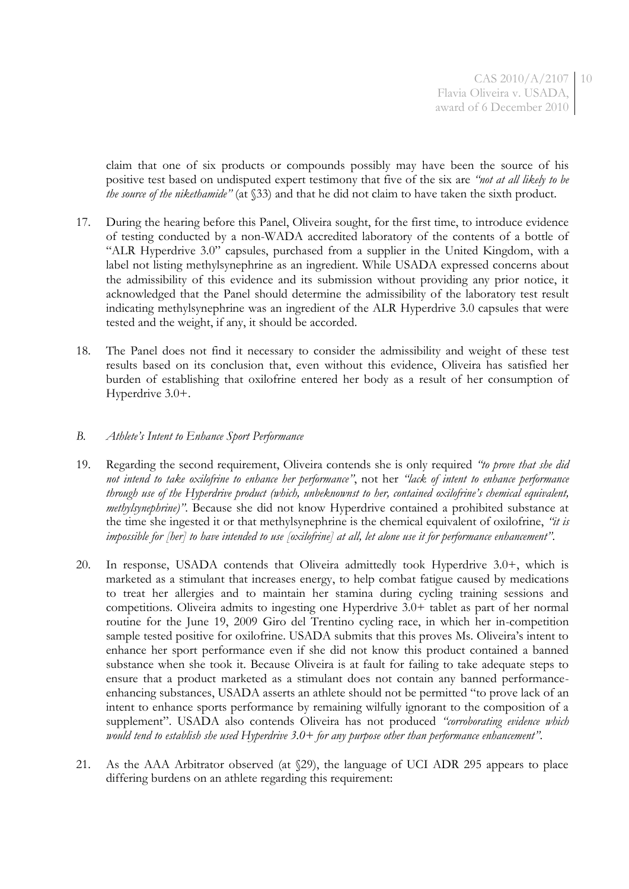claim that one of six products or compounds possibly may have been the source of his positive test based on undisputed expert testimony that five of the six are *"not at all likely to be the source of the nikethamide"* (at §33) and that he did not claim to have taken the sixth product.

- 17. During the hearing before this Panel, Oliveira sought, for the first time, to introduce evidence of testing conducted by a non-WADA accredited laboratory of the contents of a bottle of "ALR Hyperdrive 3.0" capsules, purchased from a supplier in the United Kingdom, with a label not listing methylsynephrine as an ingredient. While USADA expressed concerns about the admissibility of this evidence and its submission without providing any prior notice, it acknowledged that the Panel should determine the admissibility of the laboratory test result indicating methylsynephrine was an ingredient of the ALR Hyperdrive 3.0 capsules that were tested and the weight, if any, it should be accorded.
- 18. The Panel does not find it necessary to consider the admissibility and weight of these test results based on its conclusion that, even without this evidence, Oliveira has satisfied her burden of establishing that oxilofrine entered her body as a result of her consumption of Hyperdrive 3.0+.

#### *B. Athlete's Intent to Enhance Sport Performance*

- 19. Regarding the second requirement, Oliveira contends she is only required *"to prove that she did not intend to take oxilofrine to enhance her performance"*, not her *"lack of intent to enhance performance through use of the Hyperdrive product (which, unbeknownst to her, contained oxilofrine's chemical equivalent, methylsynephrine)"*. Because she did not know Hyperdrive contained a prohibited substance at the time she ingested it or that methylsynephrine is the chemical equivalent of oxilofrine, *"it is impossible for [her] to have intended to use [oxilofrine] at all, let alone use it for performance enhancement"*.
- 20. In response, USADA contends that Oliveira admittedly took Hyperdrive 3.0+, which is marketed as a stimulant that increases energy, to help combat fatigue caused by medications to treat her allergies and to maintain her stamina during cycling training sessions and competitions. Oliveira admits to ingesting one Hyperdrive 3.0+ tablet as part of her normal routine for the June 19, 2009 Giro del Trentino cycling race, in which her in-competition sample tested positive for oxilofrine. USADA submits that this proves Ms. Oliveira's intent to enhance her sport performance even if she did not know this product contained a banned substance when she took it. Because Oliveira is at fault for failing to take adequate steps to ensure that a product marketed as a stimulant does not contain any banned performanceenhancing substances, USADA asserts an athlete should not be permitted "to prove lack of an intent to enhance sports performance by remaining wilfully ignorant to the composition of a supplement". USADA also contends Oliveira has not produced *"corroborating evidence which would tend to establish she used Hyperdrive 3.0+ for any purpose other than performance enhancement"*.
- 21. As the AAA Arbitrator observed (at §29), the language of UCI ADR 295 appears to place differing burdens on an athlete regarding this requirement: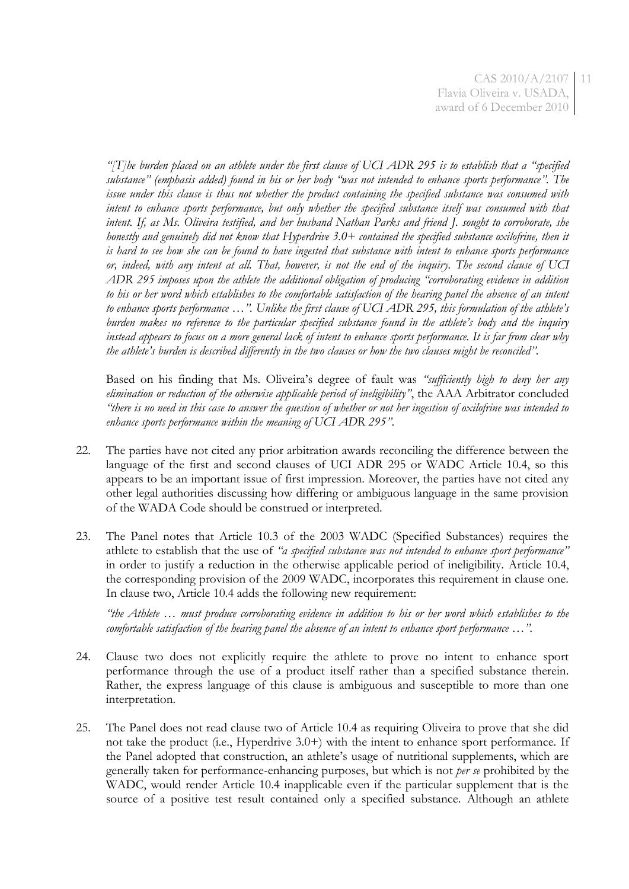*"[T]he burden placed on an athlete under the first clause of UCI ADR 295 is to establish that a "specified substance" (emphasis added) found in his or her body "was not intended to enhance sports performance". The issue under this clause is thus not whether the product containing the specified substance was consumed with intent to enhance sports performance, but only whether the specified substance itself was consumed with that intent. If, as Ms. Oliveira testified, and her husband Nathan Parks and friend J. sought to corroborate, she honestly and genuinely did not know that Hyperdrive 3.0+ contained the specified substance oxilofrine, then it is hard to see how she can be found to have ingested that substance with intent to enhance sports performance or, indeed, with any intent at all. That, however, is not the end of the inquiry. The second clause of UCI ADR 295 imposes upon the athlete the additional obligation of producing "corroborating evidence in addition to his or her word which establishes to the comfortable satisfaction of the hearing panel the absence of an intent to enhance sports performance …". Unlike the first clause of UCI ADR 295, this formulation of the athlete's burden makes no reference to the particular specified substance found in the athlete's body and the inquiry instead appears to focus on a more general lack of intent to enhance sports performance. It is far from clear why the athlete's burden is described differently in the two clauses or how the two clauses might be reconciled".*

Based on his finding that Ms. Oliveira's degree of fault was *"sufficiently high to deny her any elimination or reduction of the otherwise applicable period of ineligibility"*, the AAA Arbitrator concluded *"there is no need in this case to answer the question of whether or not her ingestion of oxilofrine was intended to enhance sports performance within the meaning of UCI ADR 295"*.

- 22. The parties have not cited any prior arbitration awards reconciling the difference between the language of the first and second clauses of UCI ADR 295 or WADC Article 10.4, so this appears to be an important issue of first impression. Moreover, the parties have not cited any other legal authorities discussing how differing or ambiguous language in the same provision of the WADA Code should be construed or interpreted.
- 23. The Panel notes that Article 10.3 of the 2003 WADC (Specified Substances) requires the athlete to establish that the use of *"a specified substance was not intended to enhance sport performance"* in order to justify a reduction in the otherwise applicable period of ineligibility. Article 10.4, the corresponding provision of the 2009 WADC, incorporates this requirement in clause one. In clause two, Article 10.4 adds the following new requirement:

*"the Athlete … must produce corroborating evidence in addition to his or her word which establishes to the comfortable satisfaction of the hearing panel the absence of an intent to enhance sport performance ...*".

- 24. Clause two does not explicitly require the athlete to prove no intent to enhance sport performance through the use of a product itself rather than a specified substance therein. Rather, the express language of this clause is ambiguous and susceptible to more than one interpretation.
- 25. The Panel does not read clause two of Article 10.4 as requiring Oliveira to prove that she did not take the product (i.e., Hyperdrive 3.0+) with the intent to enhance sport performance. If the Panel adopted that construction, an athlete's usage of nutritional supplements, which are generally taken for performance-enhancing purposes, but which is not *per se* prohibited by the WADC, would render Article 10.4 inapplicable even if the particular supplement that is the source of a positive test result contained only a specified substance. Although an athlete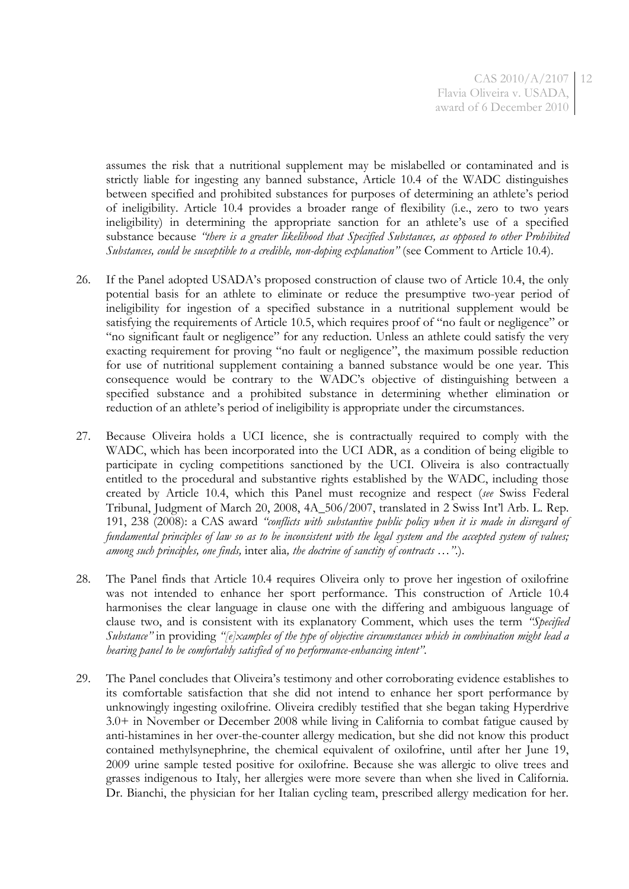CAS 2010/A/2107 12 Flavia Oliveira v. USADA, award of 6 December 2010

assumes the risk that a nutritional supplement may be mislabelled or contaminated and is strictly liable for ingesting any banned substance, Article 10.4 of the WADC distinguishes between specified and prohibited substances for purposes of determining an athlete's period of ineligibility. Article 10.4 provides a broader range of flexibility (i.e., zero to two years ineligibility) in determining the appropriate sanction for an athlete's use of a specified substance because *"there is a greater likelihood that Specified Substances, as opposed to other Prohibited Substances, could be susceptible to a credible, non-doping explanation"* (see Comment to Article 10.4).

- 26. If the Panel adopted USADA's proposed construction of clause two of Article 10.4, the only potential basis for an athlete to eliminate or reduce the presumptive two-year period of ineligibility for ingestion of a specified substance in a nutritional supplement would be satisfying the requirements of Article 10.5, which requires proof of "no fault or negligence" or "no significant fault or negligence" for any reduction. Unless an athlete could satisfy the very exacting requirement for proving "no fault or negligence", the maximum possible reduction for use of nutritional supplement containing a banned substance would be one year. This consequence would be contrary to the WADC's objective of distinguishing between a specified substance and a prohibited substance in determining whether elimination or reduction of an athlete's period of ineligibility is appropriate under the circumstances.
- 27. Because Oliveira holds a UCI licence, she is contractually required to comply with the WADC, which has been incorporated into the UCI ADR, as a condition of being eligible to participate in cycling competitions sanctioned by the UCI. Oliveira is also contractually entitled to the procedural and substantive rights established by the WADC, including those created by Article 10.4, which this Panel must recognize and respect (*see* Swiss Federal Tribunal, Judgment of March 20, 2008, 4A\_506/2007, translated in 2 Swiss Int'l Arb. L. Rep. 191, 238 (2008): a CAS award *"conflicts with substantive public policy when it is made in disregard of fundamental principles of law so as to be inconsistent with the legal system and the accepted system of values; among such principles, one finds,* inter alia*, the doctrine of sanctity of contracts …"*.).
- 28. The Panel finds that Article 10.4 requires Oliveira only to prove her ingestion of oxilofrine was not intended to enhance her sport performance. This construction of Article 10.4 harmonises the clear language in clause one with the differing and ambiguous language of clause two, and is consistent with its explanatory Comment, which uses the term *"Specified Substance"* in providing *"[e]xamples of the type of objective circumstances which in combination might lead a hearing panel to be comfortably satisfied of no performance-enhancing intent"*.
- 29. The Panel concludes that Oliveira's testimony and other corroborating evidence establishes to its comfortable satisfaction that she did not intend to enhance her sport performance by unknowingly ingesting oxilofrine. Oliveira credibly testified that she began taking Hyperdrive 3.0+ in November or December 2008 while living in California to combat fatigue caused by anti-histamines in her over-the-counter allergy medication, but she did not know this product contained methylsynephrine, the chemical equivalent of oxilofrine, until after her June 19, 2009 urine sample tested positive for oxilofrine. Because she was allergic to olive trees and grasses indigenous to Italy, her allergies were more severe than when she lived in California. Dr. Bianchi, the physician for her Italian cycling team, prescribed allergy medication for her.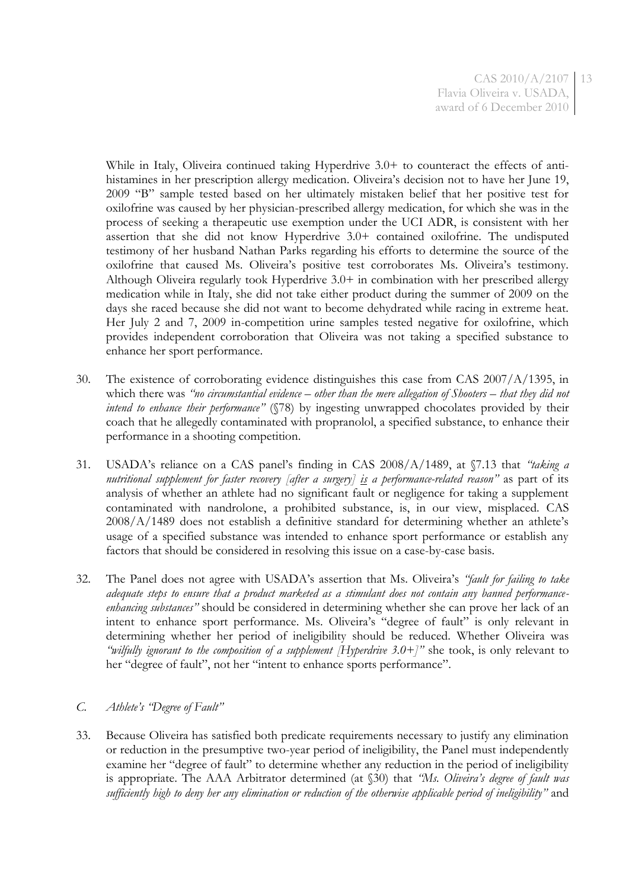While in Italy, Oliveira continued taking Hyperdrive 3.0+ to counteract the effects of antihistamines in her prescription allergy medication. Oliveira's decision not to have her June 19, 2009 "B" sample tested based on her ultimately mistaken belief that her positive test for oxilofrine was caused by her physician-prescribed allergy medication, for which she was in the process of seeking a therapeutic use exemption under the UCI ADR, is consistent with her assertion that she did not know Hyperdrive 3.0+ contained oxilofrine. The undisputed testimony of her husband Nathan Parks regarding his efforts to determine the source of the oxilofrine that caused Ms. Oliveira's positive test corroborates Ms. Oliveira's testimony. Although Oliveira regularly took Hyperdrive 3.0+ in combination with her prescribed allergy medication while in Italy, she did not take either product during the summer of 2009 on the days she raced because she did not want to become dehydrated while racing in extreme heat. Her July 2 and 7, 2009 in-competition urine samples tested negative for oxilofrine, which provides independent corroboration that Oliveira was not taking a specified substance to enhance her sport performance.

- 30. The existence of corroborating evidence distinguishes this case from CAS 2007/A/1395, in which there was *"no circumstantial evidence – other than the mere allegation of Shooters – that they did not intend to enhance their performance"* (§78) by ingesting unwrapped chocolates provided by their coach that he allegedly contaminated with propranolol, a specified substance, to enhance their performance in a shooting competition.
- 31. USADA's reliance on a CAS panel's finding in CAS 2008/A/1489, at §7.13 that *"taking a nutritional supplement for faster recovery [after a surgery] is a performance-related reason"* as part of its analysis of whether an athlete had no significant fault or negligence for taking a supplement contaminated with nandrolone, a prohibited substance, is, in our view, misplaced. CAS 2008/A/1489 does not establish a definitive standard for determining whether an athlete's usage of a specified substance was intended to enhance sport performance or establish any factors that should be considered in resolving this issue on a case-by-case basis.
- 32. The Panel does not agree with USADA's assertion that Ms. Oliveira's *"fault for failing to take adequate steps to ensure that a product marketed as a stimulant does not contain any banned performanceenhancing substances"* should be considered in determining whether she can prove her lack of an intent to enhance sport performance. Ms. Oliveira's "degree of fault" is only relevant in determining whether her period of ineligibility should be reduced. Whether Oliveira was *"wilfully ignorant to the composition of a supplement [Hyperdrive 3.0+]"* she took, is only relevant to her "degree of fault", not her "intent to enhance sports performance".

## *C. Athlete's "Degree of Fault"*

33. Because Oliveira has satisfied both predicate requirements necessary to justify any elimination or reduction in the presumptive two-year period of ineligibility, the Panel must independently examine her "degree of fault" to determine whether any reduction in the period of ineligibility is appropriate. The AAA Arbitrator determined (at §30) that *"Ms. Oliveira's degree of fault was sufficiently high to deny her any elimination or reduction of the otherwise applicable period of ineligibility"* and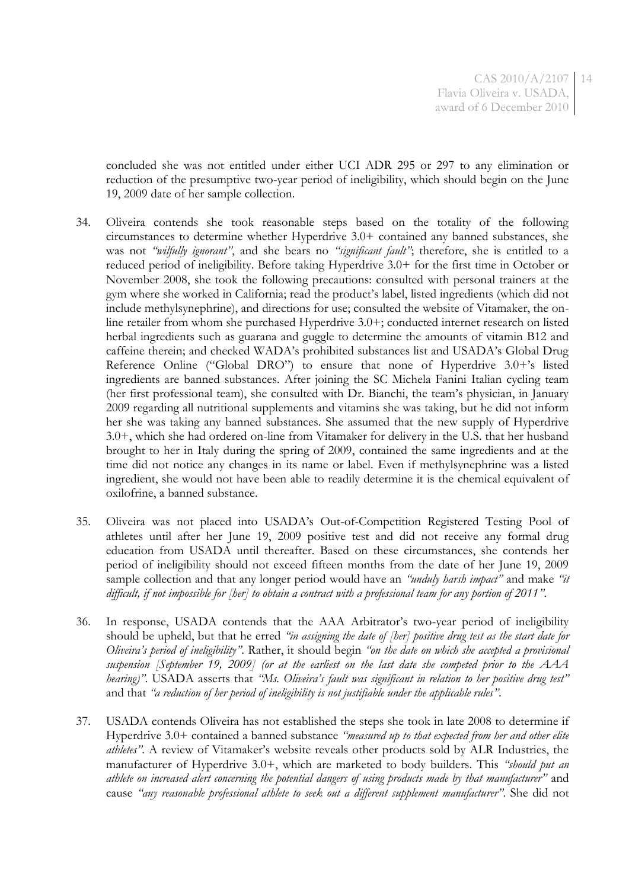concluded she was not entitled under either UCI ADR 295 or 297 to any elimination or reduction of the presumptive two-year period of ineligibility, which should begin on the June 19, 2009 date of her sample collection.

- 34. Oliveira contends she took reasonable steps based on the totality of the following circumstances to determine whether Hyperdrive 3.0+ contained any banned substances, she was not *"wilfully ignorant"*, and she bears no *"significant fault"*; therefore, she is entitled to a reduced period of ineligibility. Before taking Hyperdrive 3.0+ for the first time in October or November 2008, she took the following precautions: consulted with personal trainers at the gym where she worked in California; read the product's label, listed ingredients (which did not include methylsynephrine), and directions for use; consulted the website of Vitamaker, the online retailer from whom she purchased Hyperdrive 3.0+; conducted internet research on listed herbal ingredients such as guarana and guggle to determine the amounts of vitamin B12 and caffeine therein; and checked WADA's prohibited substances list and USADA's Global Drug Reference Online ("Global DRO") to ensure that none of Hyperdrive 3.0+'s listed ingredients are banned substances. After joining the SC Michela Fanini Italian cycling team (her first professional team), she consulted with Dr. Bianchi, the team's physician, in January 2009 regarding all nutritional supplements and vitamins she was taking, but he did not inform her she was taking any banned substances. She assumed that the new supply of Hyperdrive 3.0+, which she had ordered on-line from Vitamaker for delivery in the U.S. that her husband brought to her in Italy during the spring of 2009, contained the same ingredients and at the time did not notice any changes in its name or label. Even if methylsynephrine was a listed ingredient, she would not have been able to readily determine it is the chemical equivalent of oxilofrine, a banned substance.
- 35. Oliveira was not placed into USADA's Out-of-Competition Registered Testing Pool of athletes until after her June 19, 2009 positive test and did not receive any formal drug education from USADA until thereafter. Based on these circumstances, she contends her period of ineligibility should not exceed fifteen months from the date of her June 19, 2009 sample collection and that any longer period would have an *"unduly harsh impact"* and make *"it difficult, if not impossible for [her] to obtain a contract with a professional team for any portion of 2011"*.
- 36. In response, USADA contends that the AAA Arbitrator's two-year period of ineligibility should be upheld, but that he erred *"in assigning the date of [her] positive drug test as the start date for Oliveira's period of ineligibility"*. Rather, it should begin *"on the date on which she accepted a provisional suspension [September 19, 2009] (or at the earliest on the last date she competed prior to the AAA hearing)"*. USADA asserts that *"Ms. Oliveira's fault was significant in relation to her positive drug test"* and that *"a reduction of her period of ineligibility is not justifiable under the applicable rules"*.
- 37. USADA contends Oliveira has not established the steps she took in late 2008 to determine if Hyperdrive 3.0+ contained a banned substance *"measured up to that expected from her and other elite athletes"*. A review of Vitamaker's website reveals other products sold by ALR Industries, the manufacturer of Hyperdrive 3.0+, which are marketed to body builders. This *"should put an athlete on increased alert concerning the potential dangers of using products made by that manufacturer"* and cause *"any reasonable professional athlete to seek out a different supplement manufacturer"*. She did not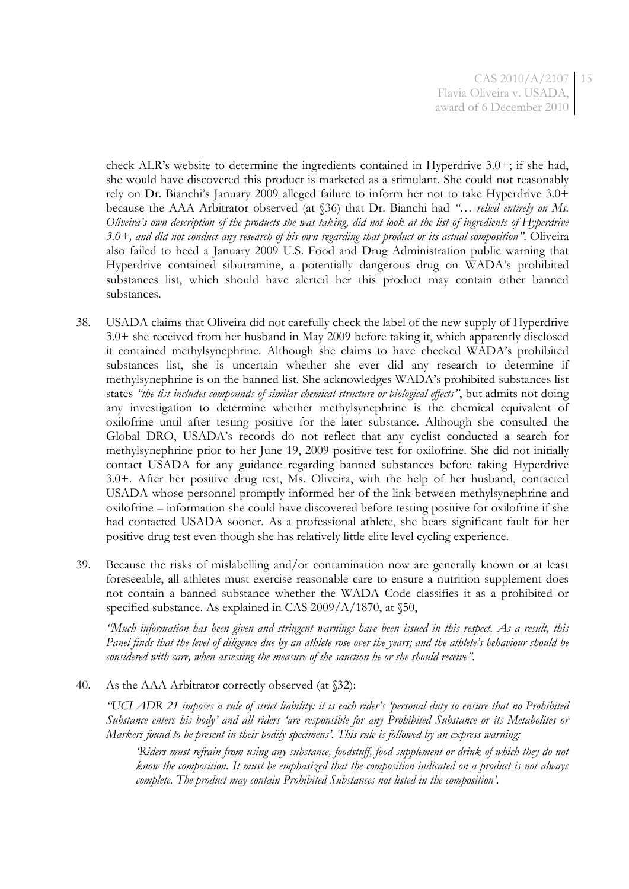CAS 2010/A/2107 15 Flavia Oliveira v. USADA, award of 6 December 2010

check ALR's website to determine the ingredients contained in Hyperdrive 3.0+; if she had, she would have discovered this product is marketed as a stimulant. She could not reasonably rely on Dr. Bianchi's January 2009 alleged failure to inform her not to take Hyperdrive 3.0+ because the AAA Arbitrator observed (at §36) that Dr. Bianchi had *"… relied entirely on Ms. Oliveira's own description of the products she was taking, did not look at the list of ingredients of Hyperdrive 3.0+, and did not conduct any research of his own regarding that product or its actual composition"*. Oliveira also failed to heed a January 2009 U.S. Food and Drug Administration public warning that Hyperdrive contained sibutramine, a potentially dangerous drug on WADA's prohibited substances list, which should have alerted her this product may contain other banned substances.

- 38. USADA claims that Oliveira did not carefully check the label of the new supply of Hyperdrive 3.0+ she received from her husband in May 2009 before taking it, which apparently disclosed it contained methylsynephrine. Although she claims to have checked WADA's prohibited substances list, she is uncertain whether she ever did any research to determine if methylsynephrine is on the banned list. She acknowledges WADA's prohibited substances list states *"the list includes compounds of similar chemical structure or biological effects"*, but admits not doing any investigation to determine whether methylsynephrine is the chemical equivalent of oxilofrine until after testing positive for the later substance. Although she consulted the Global DRO, USADA's records do not reflect that any cyclist conducted a search for methylsynephrine prior to her June 19, 2009 positive test for oxilofrine. She did not initially contact USADA for any guidance regarding banned substances before taking Hyperdrive 3.0+. After her positive drug test, Ms. Oliveira, with the help of her husband, contacted USADA whose personnel promptly informed her of the link between methylsynephrine and oxilofrine – information she could have discovered before testing positive for oxilofrine if she had contacted USADA sooner. As a professional athlete, she bears significant fault for her positive drug test even though she has relatively little elite level cycling experience.
- 39. Because the risks of mislabelling and/or contamination now are generally known or at least foreseeable, all athletes must exercise reasonable care to ensure a nutrition supplement does not contain a banned substance whether the WADA Code classifies it as a prohibited or specified substance. As explained in CAS 2009/A/1870, at §50,

*"Much information has been given and stringent warnings have been issued in this respect. As a result, this Panel finds that the level of diligence due by an athlete rose over the years; and the athlete's behaviour should be considered with care, when assessing the measure of the sanction he or she should receive".*

40. As the AAA Arbitrator correctly observed (at  $\S 32$ ):

*"UCI ADR 21 imposes a rule of strict liability: it is each rider's 'personal duty to ensure that no Prohibited Substance enters his body' and all riders 'are responsible for any Prohibited Substance or its Metabolites or Markers found to be present in their bodily specimens'. This rule is followed by an express warning:*

*'Riders must refrain from using any substance, foodstuff, food supplement or drink of which they do not know the composition. It must be emphasized that the composition indicated on a product is not always complete. The product may contain Prohibited Substances not listed in the composition'.*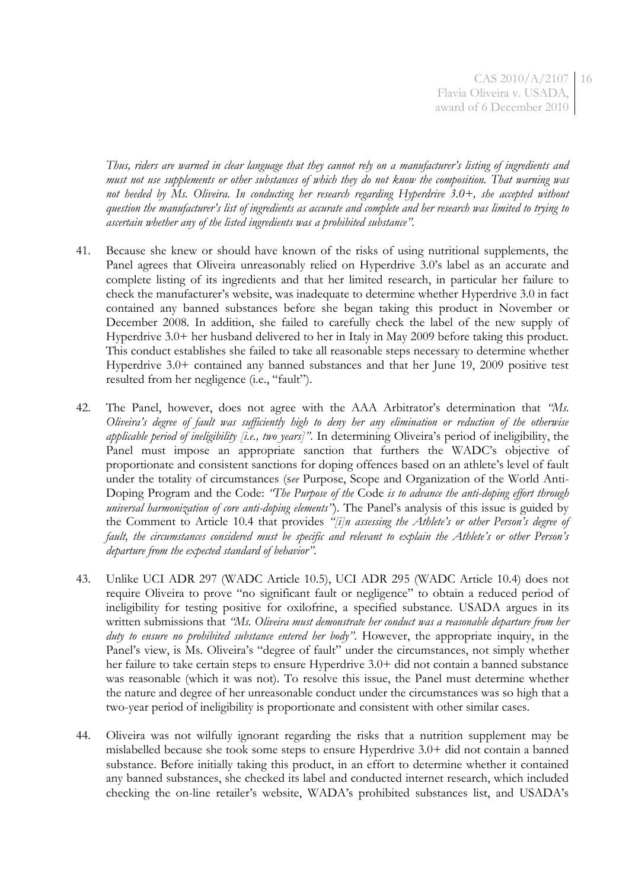CAS 2010/A/2107 16 Flavia Oliveira v. USADA, award of 6 December 2010

*Thus, riders are warned in clear language that they cannot rely on a manufacturer's listing of ingredients and must not use supplements or other substances of which they do not know the composition. That warning was not heeded by Ms. Oliveira. In conducting her research regarding Hyperdrive 3.0+, she accepted without question the manufacturer's list of ingredients as accurate and complete and her research was limited to trying to ascertain whether any of the listed ingredients was a prohibited substance".*

- 41. Because she knew or should have known of the risks of using nutritional supplements, the Panel agrees that Oliveira unreasonably relied on Hyperdrive 3.0's label as an accurate and complete listing of its ingredients and that her limited research, in particular her failure to check the manufacturer's website, was inadequate to determine whether Hyperdrive 3.0 in fact contained any banned substances before she began taking this product in November or December 2008. In addition, she failed to carefully check the label of the new supply of Hyperdrive 3.0+ her husband delivered to her in Italy in May 2009 before taking this product. This conduct establishes she failed to take all reasonable steps necessary to determine whether Hyperdrive 3.0+ contained any banned substances and that her June 19, 2009 positive test resulted from her negligence (i.e., "fault").
- 42. The Panel, however, does not agree with the AAA Arbitrator's determination that *"Ms. Oliveira's degree of fault was sufficiently high to deny her any elimination or reduction of the otherwise applicable period of ineligibility [i.e., two years]"*. In determining Oliveira's period of ineligibility, the Panel must impose an appropriate sanction that furthers the WADC's objective of proportionate and consistent sanctions for doping offences based on an athlete's level of fault under the totality of circumstances (s*ee* Purpose, Scope and Organization of the World Anti-Doping Program and the Code: *"The Purpose of the* Code *is to advance the anti-doping effort through universal harmonization of core anti-doping elements"*). The Panel's analysis of this issue is guided by the Comment to Article 10.4 that provides *"[i]n assessing the Athlete's or other Person's degree of fault, the circumstances considered must be specific and relevant to explain the Athlete's or other Person's departure from the expected standard of behavior"*.
- 43. Unlike UCI ADR 297 (WADC Article 10.5), UCI ADR 295 (WADC Article 10.4) does not require Oliveira to prove "no significant fault or negligence" to obtain a reduced period of ineligibility for testing positive for oxilofrine, a specified substance. USADA argues in its written submissions that *"Ms. Oliveira must demonstrate her conduct was a reasonable departure from her duty to ensure no prohibited substance entered her body"*. However, the appropriate inquiry, in the Panel's view, is Ms. Oliveira's "degree of fault" under the circumstances, not simply whether her failure to take certain steps to ensure Hyperdrive 3.0+ did not contain a banned substance was reasonable (which it was not). To resolve this issue, the Panel must determine whether the nature and degree of her unreasonable conduct under the circumstances was so high that a two-year period of ineligibility is proportionate and consistent with other similar cases.
- 44. Oliveira was not wilfully ignorant regarding the risks that a nutrition supplement may be mislabelled because she took some steps to ensure Hyperdrive 3.0+ did not contain a banned substance. Before initially taking this product, in an effort to determine whether it contained any banned substances, she checked its label and conducted internet research, which included checking the on-line retailer's website, WADA's prohibited substances list, and USADA's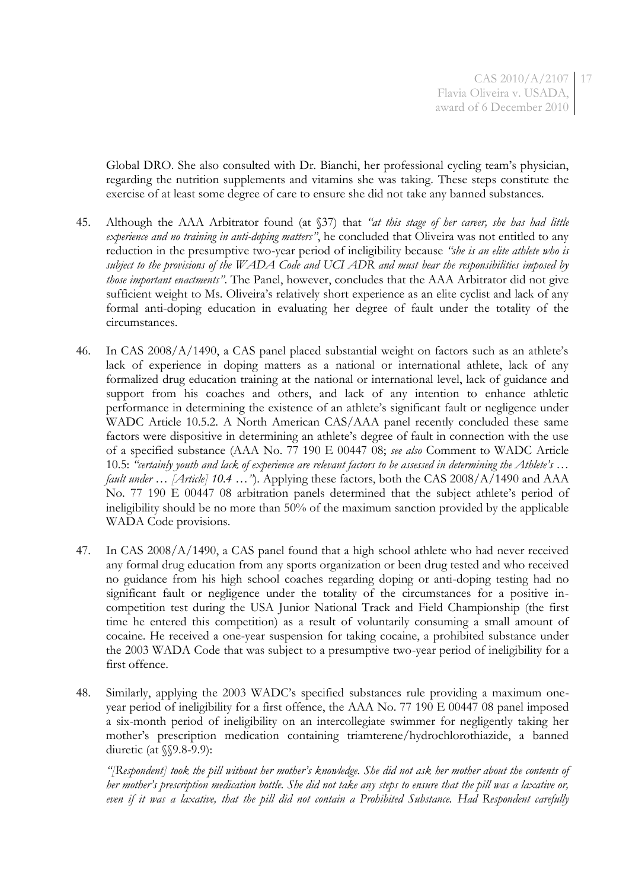Global DRO. She also consulted with Dr. Bianchi, her professional cycling team's physician, regarding the nutrition supplements and vitamins she was taking. These steps constitute the exercise of at least some degree of care to ensure she did not take any banned substances.

- 45. Although the AAA Arbitrator found (at §37) that *"at this stage of her career, she has had little experience and no training in anti-doping matters"*, he concluded that Oliveira was not entitled to any reduction in the presumptive two-year period of ineligibility because *"she is an elite athlete who is subject to the provisions of the WADA Code and UCI ADR and must bear the responsibilities imposed by those important enactments"*. The Panel, however, concludes that the AAA Arbitrator did not give sufficient weight to Ms. Oliveira's relatively short experience as an elite cyclist and lack of any formal anti-doping education in evaluating her degree of fault under the totality of the circumstances.
- 46. In CAS 2008/A/1490, a CAS panel placed substantial weight on factors such as an athlete's lack of experience in doping matters as a national or international athlete, lack of any formalized drug education training at the national or international level, lack of guidance and support from his coaches and others, and lack of any intention to enhance athletic performance in determining the existence of an athlete's significant fault or negligence under WADC Article 10.5.2. A North American CAS/AAA panel recently concluded these same factors were dispositive in determining an athlete's degree of fault in connection with the use of a specified substance (AAA No. 77 190 E 00447 08; *see also* Comment to WADC Article 10.5: *"certainly youth and lack of experience are relevant factors to be assessed in determining the Athlete's … fault under … [Article] 10.4 …"*). Applying these factors, both the CAS 2008/A/1490 and AAA No. 77 190 E 00447 08 arbitration panels determined that the subject athlete's period of ineligibility should be no more than 50% of the maximum sanction provided by the applicable WADA Code provisions.
- 47. In CAS 2008/A/1490, a CAS panel found that a high school athlete who had never received any formal drug education from any sports organization or been drug tested and who received no guidance from his high school coaches regarding doping or anti-doping testing had no significant fault or negligence under the totality of the circumstances for a positive incompetition test during the USA Junior National Track and Field Championship (the first time he entered this competition) as a result of voluntarily consuming a small amount of cocaine. He received a one-year suspension for taking cocaine, a prohibited substance under the 2003 WADA Code that was subject to a presumptive two-year period of ineligibility for a first offence.
- 48. Similarly, applying the 2003 WADC's specified substances rule providing a maximum oneyear period of ineligibility for a first offence, the AAA No. 77 190 E 00447 08 panel imposed a six-month period of ineligibility on an intercollegiate swimmer for negligently taking her mother's prescription medication containing triamterene/hydrochlorothiazide, a banned diuretic (at §§9.8-9.9):

*"[Respondent] took the pill without her mother's knowledge. She did not ask her mother about the contents of her mother's prescription medication bottle. She did not take any steps to ensure that the pill was a laxative or, even if it was a laxative, that the pill did not contain a Prohibited Substance. Had Respondent carefully*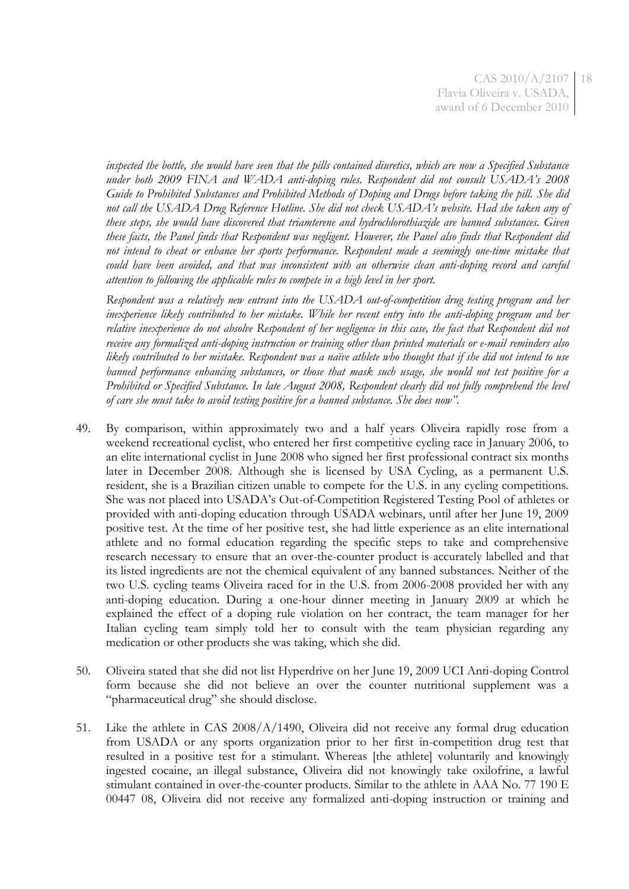*inspected the bottle, she would have seen that the pills contained diuretics, which are now a Specified Substance under both 2009 FINA and WADA anti-doping rules. Respondent did not consult USADA's 2008 Guide to Prohibited Substances and Prohibited Methods of Doping and Drugs before taking the pill. She did not call the USADA Drug Reference Hotline. She did not check USADA's website. Had she taken any of these steps, she would have discovered that triamterene and hydrochlorothiazide are banned substances. Given these facts, the Panel finds that Respondent was negligent. However, the Panel also finds that Respondent did not intend to cheat or enhance her sports performance. Respondent made a seemingly one-time mistake that could have been avoided, and that was inconsistent with an otherwise clean anti-doping record and careful attention to following the applicable rules to compete in a high level in her sport.*

*Respondent was a relatively new entrant into the USADA out-of-competition drug testing program and her inexperience likely contributed to her mistake. While her recent entry into the anti-doping program and her*  relative inexperience do not absolve Respondent of her negligence in this case, the fact that Respondent did not *receive any formalized anti-doping instruction or training other than printed materials or e-mail reminders also likely contributed to her mistake. Respondent was a naïve athlete who thought that if she did not intend to use banned performance enhancing substances, or those that mask such usage, she would not test positive for a Prohibited or Specified Substance. In late August 2008, Respondent clearly did not fully comprehend the level of care she must take to avoid testing positive for a banned substance. She does now".*

- 49. By comparison, within approximately two and a half years Oliveira rapidly rose from a weekend recreational cyclist, who entered her first competitive cycling race in January 2006, to an elite international cyclist in June 2008 who signed her first professional contract six months later in December 2008. Although she is licensed by USA Cycling, as a permanent U.S. resident, she is a Brazilian citizen unable to compete for the U.S. in any cycling competitions. She was not placed into USADA's Out-of-Competition Registered Testing Pool of athletes or provided with anti-doping education through USADA webinars, until after her June 19, 2009 positive test. At the time of her positive test, she had little experience as an elite international athlete and no formal education regarding the specific steps to take and comprehensive research necessary to ensure that an over-the-counter product is accurately labelled and that its listed ingredients are not the chemical equivalent of any banned substances. Neither of the two U.S. cycling teams Oliveira raced for in the U.S. from 2006-2008 provided her with any anti-doping education. During a one-hour dinner meeting in January 2009 at which he explained the effect of a doping rule violation on her contract, the team manager for her Italian cycling team simply told her to consult with the team physician regarding any medication or other products she was taking, which she did.
- 50. Oliveira stated that she did not list Hyperdrive on her June 19, 2009 UCI Anti-doping Control form because she did not believe an over the counter nutritional supplement was a "pharmaceutical drug" she should disclose.
- 51. Like the athlete in CAS 2008/A/1490, Oliveira did not receive any formal drug education from USADA or any sports organization prior to her first in-competition drug test that resulted in a positive test for a stimulant. Whereas [the athlete] voluntarily and knowingly ingested cocaine, an illegal substance, Oliveira did not knowingly take oxilofrine, a lawful stimulant contained in over-the-counter products. Similar to the athlete in AAA No. 77 190 E 00447 08, Oliveira did not receive any formalized anti-doping instruction or training and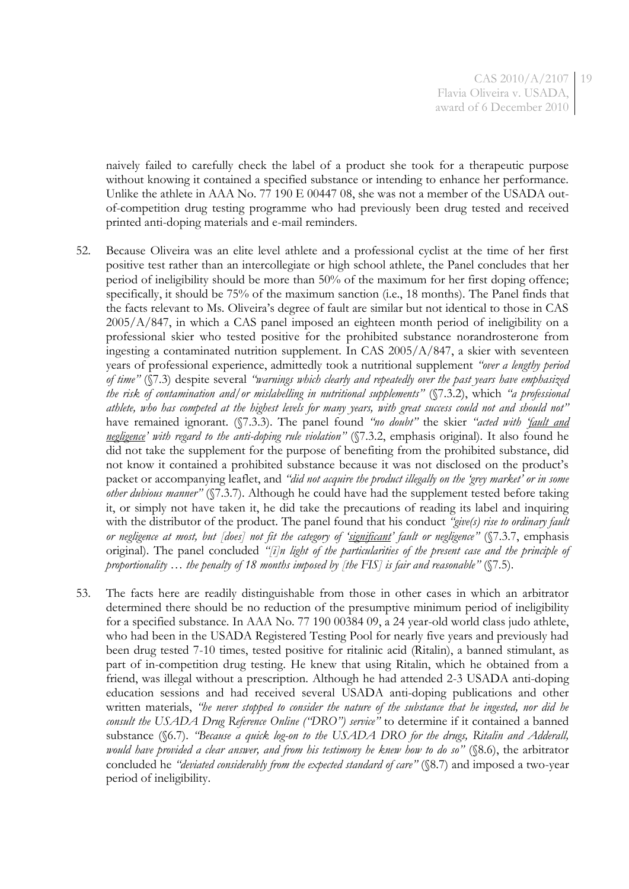CAS 2010/A/2107 Flavia Oliveira v. USADA, award of 6 December 2010 19

naively failed to carefully check the label of a product she took for a therapeutic purpose without knowing it contained a specified substance or intending to enhance her performance. Unlike the athlete in AAA No. 77 190 E 00447 08, she was not a member of the USADA outof-competition drug testing programme who had previously been drug tested and received printed anti-doping materials and e-mail reminders.

- 52. Because Oliveira was an elite level athlete and a professional cyclist at the time of her first positive test rather than an intercollegiate or high school athlete, the Panel concludes that her period of ineligibility should be more than 50% of the maximum for her first doping offence; specifically, it should be 75% of the maximum sanction (i.e., 18 months). The Panel finds that the facts relevant to Ms. Oliveira's degree of fault are similar but not identical to those in CAS 2005/A/847, in which a CAS panel imposed an eighteen month period of ineligibility on a professional skier who tested positive for the prohibited substance norandrosterone from ingesting a contaminated nutrition supplement. In CAS  $2005/A/847$ , a skier with seventeen years of professional experience, admittedly took a nutritional supplement *"over a lengthy period of time"* (§7.3) despite several *"warnings which clearly and repeatedly over the past years have emphasized the risk of contamination and/or mislabelling in nutritional supplements"* (§7.3.2), which *"a professional athlete, who has competed at the highest levels for many years, with great success could not and should not"* have remained ignorant. (§7.3.3). The panel found *"no doubt"* the skier *"acted with 'fault and negligence' with regard to the anti-doping rule violation"* (§7.3.2, emphasis original). It also found he did not take the supplement for the purpose of benefiting from the prohibited substance, did not know it contained a prohibited substance because it was not disclosed on the product's packet or accompanying leaflet, and *"did not acquire the product illegally on the 'grey market' or in some other dubious manner"* (§7.3.7). Although he could have had the supplement tested before taking it, or simply not have taken it, he did take the precautions of reading its label and inquiring with the distributor of the product. The panel found that his conduct *"give(s) rise to ordinary fault or negligence at most, but [does] not fit the category of 'significant' fault or negligence"* (§7.3.7, emphasis original). The panel concluded *"[i]n light of the particularities of the present case and the principle of proportionality … the penalty of 18 months imposed by [the FIS] is fair and reasonable"* (§7.5).
- 53. The facts here are readily distinguishable from those in other cases in which an arbitrator determined there should be no reduction of the presumptive minimum period of ineligibility for a specified substance. In AAA No. 77 190 00384 09, a 24 year-old world class judo athlete, who had been in the USADA Registered Testing Pool for nearly five years and previously had been drug tested 7-10 times, tested positive for ritalinic acid (Ritalin), a banned stimulant, as part of in-competition drug testing. He knew that using Ritalin, which he obtained from a friend, was illegal without a prescription. Although he had attended 2-3 USADA anti-doping education sessions and had received several USADA anti-doping publications and other written materials, *"he never stopped to consider the nature of the substance that he ingested, nor did he consult the USADA Drug Reference Online ("DRO") service"* to determine if it contained a banned substance (§6.7). *"Because a quick log-on to the USADA DRO for the drugs, Ritalin and Adderall, would have provided a clear answer, and from his testimony he knew how to do so"* (§8.6), the arbitrator concluded he *"deviated considerably from the expected standard of care"* (§8.7) and imposed a two-year period of ineligibility.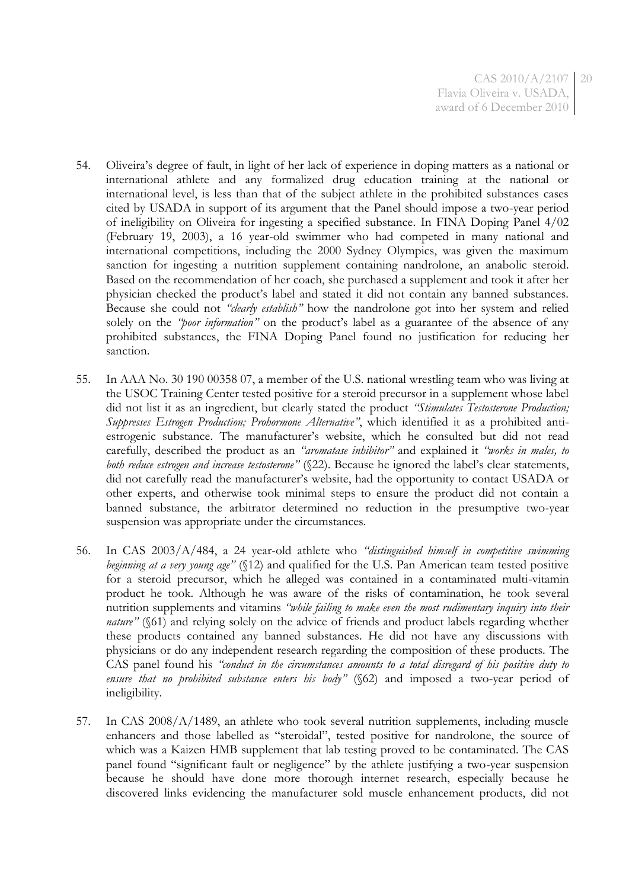- 54. Oliveira's degree of fault, in light of her lack of experience in doping matters as a national or international athlete and any formalized drug education training at the national or international level, is less than that of the subject athlete in the prohibited substances cases cited by USADA in support of its argument that the Panel should impose a two-year period of ineligibility on Oliveira for ingesting a specified substance. In FINA Doping Panel 4/02 (February 19, 2003), a 16 year-old swimmer who had competed in many national and international competitions, including the 2000 Sydney Olympics, was given the maximum sanction for ingesting a nutrition supplement containing nandrolone, an anabolic steroid. Based on the recommendation of her coach, she purchased a supplement and took it after her physician checked the product's label and stated it did not contain any banned substances. Because she could not *"clearly establish"* how the nandrolone got into her system and relied solely on the *"poor information"* on the product's label as a guarantee of the absence of any prohibited substances, the FINA Doping Panel found no justification for reducing her sanction.
- 55. In AAA No. 30 190 00358 07, a member of the U.S. national wrestling team who was living at the USOC Training Center tested positive for a steroid precursor in a supplement whose label did not list it as an ingredient, but clearly stated the product *"Stimulates Testosterone Production; Suppresses Estrogen Production; Prohormone Alternative"*, which identified it as a prohibited antiestrogenic substance. The manufacturer's website, which he consulted but did not read carefully, described the product as an *"aromatase inhibitor"* and explained it *"works in males, to both reduce estrogen and increase testosterone"* (§22). Because he ignored the label's clear statements, did not carefully read the manufacturer's website, had the opportunity to contact USADA or other experts, and otherwise took minimal steps to ensure the product did not contain a banned substance, the arbitrator determined no reduction in the presumptive two-year suspension was appropriate under the circumstances.
- 56. In CAS 2003/A/484, a 24 year-old athlete who *"distinguished himself in competitive swimming beginning at a very young age"* (§12) and qualified for the U.S. Pan American team tested positive for a steroid precursor, which he alleged was contained in a contaminated multi-vitamin product he took. Although he was aware of the risks of contamination, he took several nutrition supplements and vitamins *"while failing to make even the most rudimentary inquiry into their nature*" (§61) and relying solely on the advice of friends and product labels regarding whether these products contained any banned substances. He did not have any discussions with physicians or do any independent research regarding the composition of these products. The CAS panel found his *"conduct in the circumstances amounts to a total disregard of his positive duty to ensure that no prohibited substance enters his body"* (§62) and imposed a two-year period of ineligibility.
- 57. In CAS 2008/A/1489, an athlete who took several nutrition supplements, including muscle enhancers and those labelled as "steroidal", tested positive for nandrolone, the source of which was a Kaizen HMB supplement that lab testing proved to be contaminated. The CAS panel found "significant fault or negligence" by the athlete justifying a two-year suspension because he should have done more thorough internet research, especially because he discovered links evidencing the manufacturer sold muscle enhancement products, did not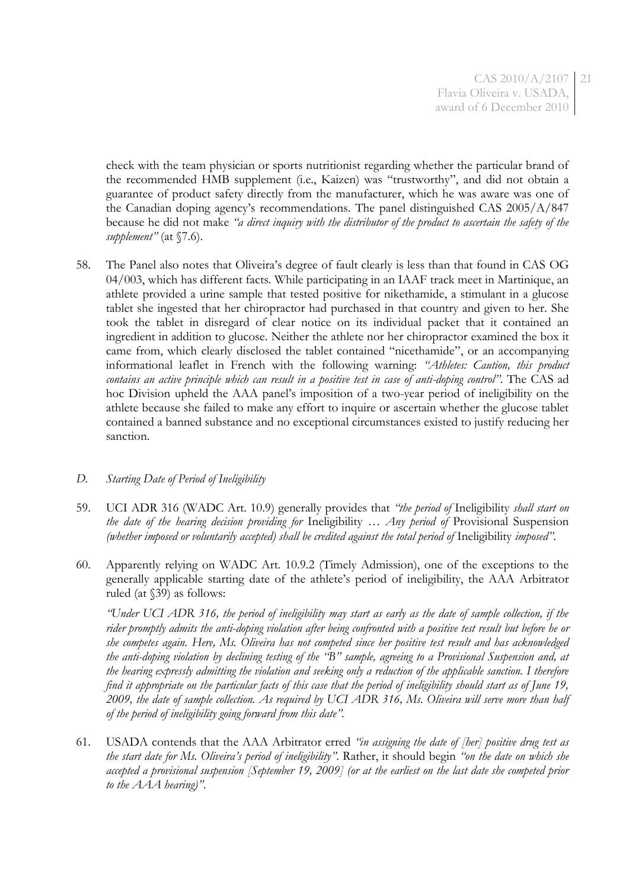check with the team physician or sports nutritionist regarding whether the particular brand of the recommended HMB supplement (i.e., Kaizen) was "trustworthy", and did not obtain a guarantee of product safety directly from the manufacturer, which he was aware was one of the Canadian doping agency's recommendations. The panel distinguished CAS 2005/A/847 because he did not make *"a direct inquiry with the distributor of the product to ascertain the safety of the supplement"* (at §7.6).

58. The Panel also notes that Oliveira's degree of fault clearly is less than that found in CAS OG 04/003, which has different facts. While participating in an IAAF track meet in Martinique, an athlete provided a urine sample that tested positive for nikethamide, a stimulant in a glucose tablet she ingested that her chiropractor had purchased in that country and given to her. She took the tablet in disregard of clear notice on its individual packet that it contained an ingredient in addition to glucose. Neither the athlete nor her chiropractor examined the box it came from, which clearly disclosed the tablet contained "nicethamide", or an accompanying informational leaflet in French with the following warning: *"Athletes: Caution, this product contains an active principle which can result in a positive test in case of anti-doping control"*. The CAS ad hoc Division upheld the AAA panel's imposition of a two-year period of ineligibility on the athlete because she failed to make any effort to inquire or ascertain whether the glucose tablet contained a banned substance and no exceptional circumstances existed to justify reducing her sanction.

## *D. Starting Date of Period of Ineligibility*

- 59. UCI ADR 316 (WADC Art. 10.9) generally provides that *"the period of* Ineligibility *shall start on the date of the hearing decision providing for* Ineligibility *… Any period of* Provisional Suspension *(whether imposed or voluntarily accepted) shall be credited against the total period of* Ineligibility *imposed"*.
- 60. Apparently relying on WADC Art. 10.9.2 (Timely Admission), one of the exceptions to the generally applicable starting date of the athlete's period of ineligibility, the AAA Arbitrator ruled (at §39) as follows:

*"Under UCI ADR 316, the period of ineligibility may start as early as the date of sample collection, if the rider promptly admits the anti-doping violation after being confronted with a positive test result but before he or she competes again. Here, Ms. Oliveira has not competed since her positive test result and has acknowledged the anti-doping violation by declining testing of the "B" sample, agreeing to a Provisional Suspension and, at the hearing expressly admitting the violation and seeking only a reduction of the applicable sanction. I therefore find it appropriate on the particular facts of this case that the period of ineligibility should start as of June 19, 2009, the date of sample collection. As required by UCI ADR 316, Ms. Oliveira will serve more than half of the period of ineligibility going forward from this date".*

61. USADA contends that the AAA Arbitrator erred *"in assigning the date of [her] positive drug test as the start date for Ms. Oliveira's period of ineligibility"*. Rather, it should begin *"on the date on which she accepted a provisional suspension [September 19, 2009] (or at the earliest on the last date she competed prior to the AAA hearing)"*.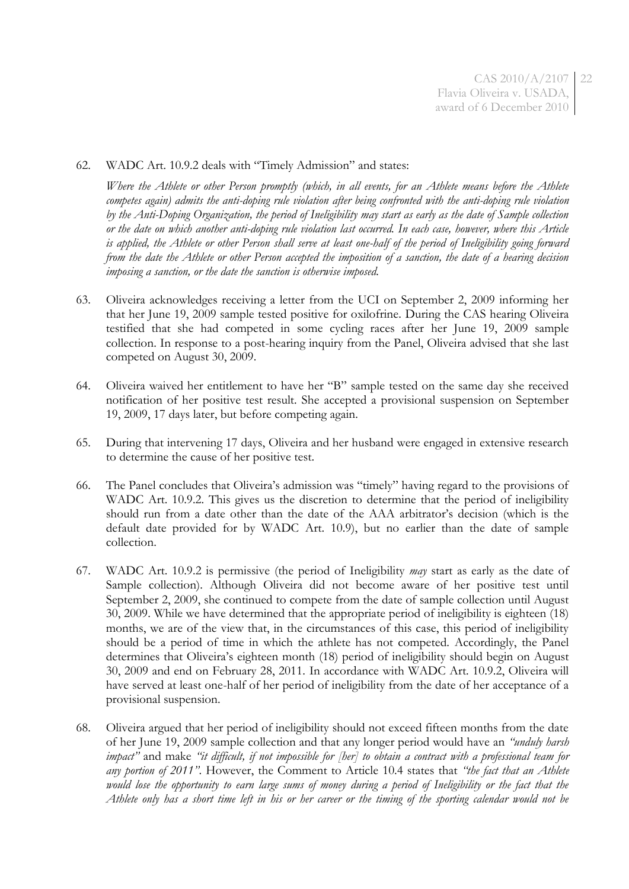CAS 2010/A/2107 22 Flavia Oliveira v. USADA, award of 6 December 2010

#### 62. WADC Art. 10.9.2 deals with "Timely Admission" and states:

*Where the Athlete or other Person promptly (which, in all events, for an Athlete means before the Athlete competes again) admits the anti-doping rule violation after being confronted with the anti-doping rule violation by the Anti-Doping Organization, the period of Ineligibility may start as early as the date of Sample collection or the date on which another anti-doping rule violation last occurred. In each case, however, where this Article is applied, the Athlete or other Person shall serve at least one-half of the period of Ineligibility going forward from the date the Athlete or other Person accepted the imposition of a sanction, the date of a hearing decision imposing a sanction, or the date the sanction is otherwise imposed.*

- 63. Oliveira acknowledges receiving a letter from the UCI on September 2, 2009 informing her that her June 19, 2009 sample tested positive for oxilofrine. During the CAS hearing Oliveira testified that she had competed in some cycling races after her June 19, 2009 sample collection. In response to a post-hearing inquiry from the Panel, Oliveira advised that she last competed on August 30, 2009.
- 64. Oliveira waived her entitlement to have her "B" sample tested on the same day she received notification of her positive test result. She accepted a provisional suspension on September 19, 2009, 17 days later, but before competing again.
- 65. During that intervening 17 days, Oliveira and her husband were engaged in extensive research to determine the cause of her positive test.
- 66. The Panel concludes that Oliveira's admission was "timely" having regard to the provisions of WADC Art. 10.9.2. This gives us the discretion to determine that the period of ineligibility should run from a date other than the date of the AAA arbitrator's decision (which is the default date provided for by WADC Art. 10.9), but no earlier than the date of sample collection.
- 67. WADC Art. 10.9.2 is permissive (the period of Ineligibility *may* start as early as the date of Sample collection). Although Oliveira did not become aware of her positive test until September 2, 2009, she continued to compete from the date of sample collection until August 30, 2009. While we have determined that the appropriate period of ineligibility is eighteen (18) months, we are of the view that, in the circumstances of this case, this period of ineligibility should be a period of time in which the athlete has not competed. Accordingly, the Panel determines that Oliveira's eighteen month (18) period of ineligibility should begin on August 30, 2009 and end on February 28, 2011. In accordance with WADC Art. 10.9.2, Oliveira will have served at least one-half of her period of ineligibility from the date of her acceptance of a provisional suspension.
- 68. Oliveira argued that her period of ineligibility should not exceed fifteen months from the date of her June 19, 2009 sample collection and that any longer period would have an *"unduly harsh impact"* and make *"it difficult, if not impossible for [her] to obtain a contract with a professional team for any portion of 2011"*. However, the Comment to Article 10.4 states that *"the fact that an Athlete would lose the opportunity to earn large sums of money during a period of Ineligibility or the fact that the Athlete only has a short time left in his or her career or the timing of the sporting calendar would not be*